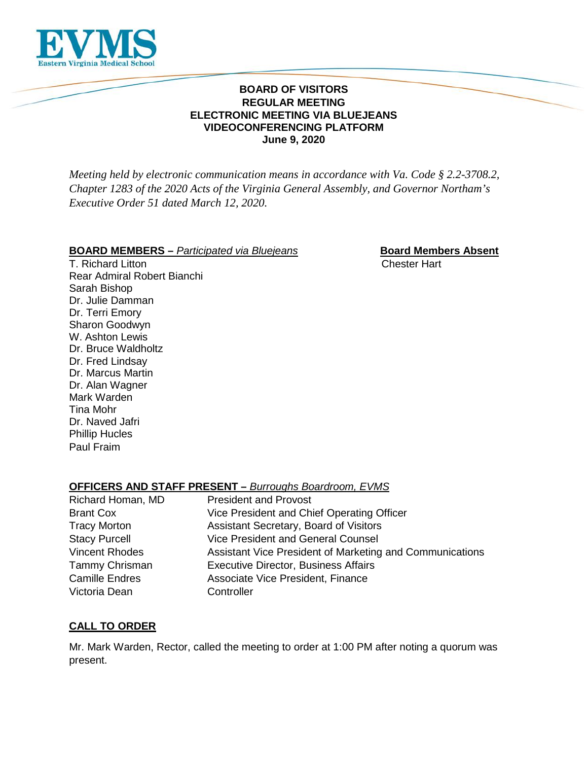

#### **BOARD OF VISITORS REGULAR MEETING ELECTRONIC MEETING VIA BLUEJEANS VIDEOCONFERENCING PLATFORM June 9, 2020**

*Meeting held by electronic communication means in accordance with Va. Code § 2.2-3708.2, Chapter 1283 of the 2020 Acts of the Virginia General Assembly, and Governor Northam's Executive Order 51 dated March 12, 2020.*

#### **BOARD MEMBERS** – *Participated via Bluejeans* **Board Members Absent**

T. Richard Litton Chester Hart Rear Admiral Robert Bianchi Sarah Bishop Dr. Julie Damman Dr. Terri Emory Sharon Goodwyn W. Ashton Lewis Dr. Bruce Waldholtz Dr. Fred Lindsay Dr. Marcus Martin Dr. Alan Wagner Mark Warden Tina Mohr Dr. Naved Jafri Phillip Hucles Paul Fraim

# **OFFICERS AND STAFF PRESENT –** *Burroughs Boardroom, EVMS*

| Richard Homan, MD     | <b>President and Provost</b>                             |
|-----------------------|----------------------------------------------------------|
| <b>Brant Cox</b>      | Vice President and Chief Operating Officer               |
| <b>Tracy Morton</b>   | Assistant Secretary, Board of Visitors                   |
| <b>Stacy Purcell</b>  | Vice President and General Counsel                       |
| <b>Vincent Rhodes</b> | Assistant Vice President of Marketing and Communications |
| Tammy Chrisman        | <b>Executive Director, Business Affairs</b>              |
| <b>Camille Endres</b> | Associate Vice President, Finance                        |
| Victoria Dean         | Controller                                               |

# **CALL TO ORDER**

Mr. Mark Warden, Rector, called the meeting to order at 1:00 PM after noting a quorum was present.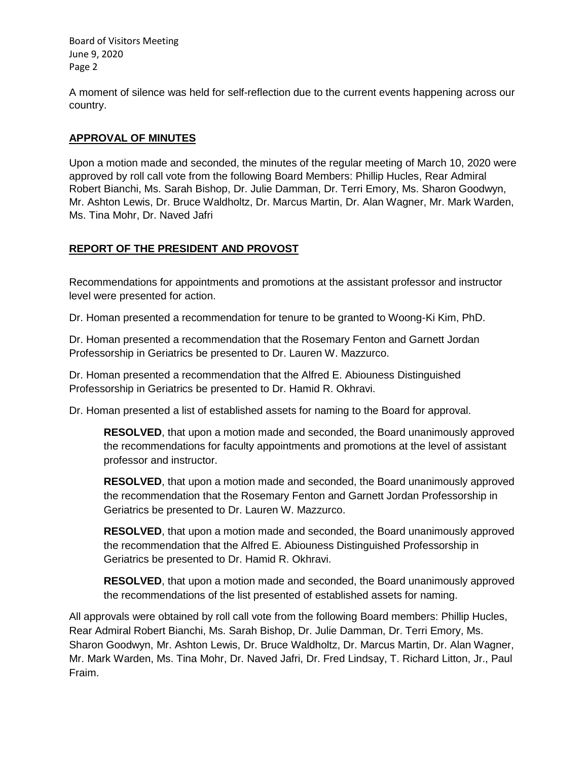A moment of silence was held for self-reflection due to the current events happening across our country.

# **APPROVAL OF MINUTES**

Upon a motion made and seconded, the minutes of the regular meeting of March 10, 2020 were approved by roll call vote from the following Board Members: Phillip Hucles, Rear Admiral Robert Bianchi, Ms. Sarah Bishop, Dr. Julie Damman, Dr. Terri Emory, Ms. Sharon Goodwyn, Mr. Ashton Lewis, Dr. Bruce Waldholtz, Dr. Marcus Martin, Dr. Alan Wagner, Mr. Mark Warden, Ms. Tina Mohr, Dr. Naved Jafri

# **REPORT OF THE PRESIDENT AND PROVOST**

Recommendations for appointments and promotions at the assistant professor and instructor level were presented for action.

Dr. Homan presented a recommendation for tenure to be granted to Woong-Ki Kim, PhD.

Dr. Homan presented a recommendation that the Rosemary Fenton and Garnett Jordan Professorship in Geriatrics be presented to Dr. Lauren W. Mazzurco.

Dr. Homan presented a recommendation that the Alfred E. Abiouness Distinguished Professorship in Geriatrics be presented to Dr. Hamid R. Okhravi.

Dr. Homan presented a list of established assets for naming to the Board for approval.

**RESOLVED**, that upon a motion made and seconded, the Board unanimously approved the recommendations for faculty appointments and promotions at the level of assistant professor and instructor.

**RESOLVED**, that upon a motion made and seconded, the Board unanimously approved the recommendation that the Rosemary Fenton and Garnett Jordan Professorship in Geriatrics be presented to Dr. Lauren W. Mazzurco.

**RESOLVED**, that upon a motion made and seconded, the Board unanimously approved the recommendation that the Alfred E. Abiouness Distinguished Professorship in Geriatrics be presented to Dr. Hamid R. Okhravi.

**RESOLVED**, that upon a motion made and seconded, the Board unanimously approved the recommendations of the list presented of established assets for naming.

All approvals were obtained by roll call vote from the following Board members: Phillip Hucles, Rear Admiral Robert Bianchi, Ms. Sarah Bishop, Dr. Julie Damman, Dr. Terri Emory, Ms. Sharon Goodwyn, Mr. Ashton Lewis, Dr. Bruce Waldholtz, Dr. Marcus Martin, Dr. Alan Wagner, Mr. Mark Warden, Ms. Tina Mohr, Dr. Naved Jafri, Dr. Fred Lindsay, T. Richard Litton, Jr., Paul Fraim.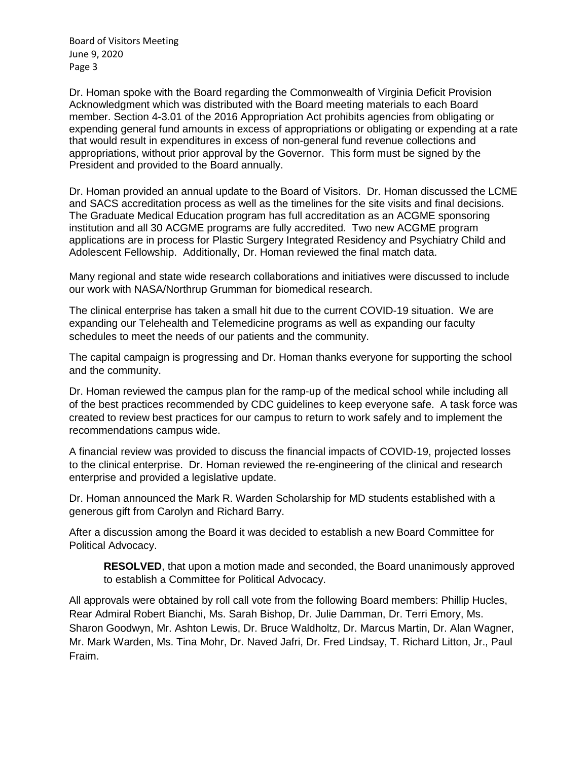Dr. Homan spoke with the Board regarding the Commonwealth of Virginia Deficit Provision Acknowledgment which was distributed with the Board meeting materials to each Board member. Section 4-3.01 of the 2016 Appropriation Act prohibits agencies from obligating or expending general fund amounts in excess of appropriations or obligating or expending at a rate that would result in expenditures in excess of non-general fund revenue collections and appropriations, without prior approval by the Governor. This form must be signed by the President and provided to the Board annually.

Dr. Homan provided an annual update to the Board of Visitors. Dr. Homan discussed the LCME and SACS accreditation process as well as the timelines for the site visits and final decisions. The Graduate Medical Education program has full accreditation as an ACGME sponsoring institution and all 30 ACGME programs are fully accredited. Two new ACGME program applications are in process for Plastic Surgery Integrated Residency and Psychiatry Child and Adolescent Fellowship. Additionally, Dr. Homan reviewed the final match data.

Many regional and state wide research collaborations and initiatives were discussed to include our work with NASA/Northrup Grumman for biomedical research.

The clinical enterprise has taken a small hit due to the current COVID-19 situation. We are expanding our Telehealth and Telemedicine programs as well as expanding our faculty schedules to meet the needs of our patients and the community.

The capital campaign is progressing and Dr. Homan thanks everyone for supporting the school and the community.

Dr. Homan reviewed the campus plan for the ramp-up of the medical school while including all of the best practices recommended by CDC guidelines to keep everyone safe. A task force was created to review best practices for our campus to return to work safely and to implement the recommendations campus wide.

A financial review was provided to discuss the financial impacts of COVID-19, projected losses to the clinical enterprise. Dr. Homan reviewed the re-engineering of the clinical and research enterprise and provided a legislative update.

Dr. Homan announced the Mark R. Warden Scholarship for MD students established with a generous gift from Carolyn and Richard Barry.

After a discussion among the Board it was decided to establish a new Board Committee for Political Advocacy.

**RESOLVED**, that upon a motion made and seconded, the Board unanimously approved to establish a Committee for Political Advocacy.

All approvals were obtained by roll call vote from the following Board members: Phillip Hucles, Rear Admiral Robert Bianchi, Ms. Sarah Bishop, Dr. Julie Damman, Dr. Terri Emory, Ms. Sharon Goodwyn, Mr. Ashton Lewis, Dr. Bruce Waldholtz, Dr. Marcus Martin, Dr. Alan Wagner, Mr. Mark Warden, Ms. Tina Mohr, Dr. Naved Jafri, Dr. Fred Lindsay, T. Richard Litton, Jr., Paul Fraim.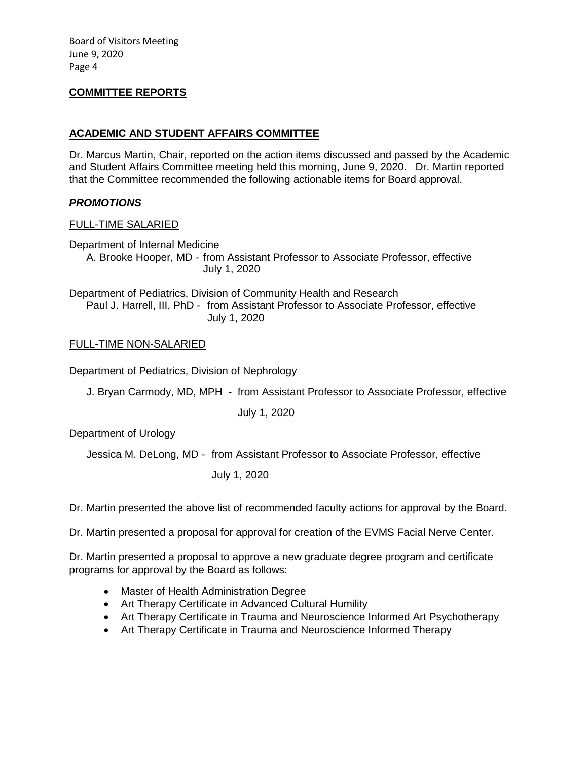#### **COMMITTEE REPORTS**

### **ACADEMIC AND STUDENT AFFAIRS COMMITTEE**

Dr. Marcus Martin, Chair, reported on the action items discussed and passed by the Academic and Student Affairs Committee meeting held this morning, June 9, 2020. Dr. Martin reported that the Committee recommended the following actionable items for Board approval.

#### *PROMOTIONS*

#### FULL-TIME SALARIED

Department of Internal Medicine

A. Brooke Hooper, MD - from Assistant Professor to Associate Professor, effective July 1, 2020

Department of Pediatrics, Division of Community Health and Research Paul J. Harrell, III, PhD - from Assistant Professor to Associate Professor, effective July 1, 2020

#### FULL-TIME NON-SALARIED

Department of Pediatrics, Division of Nephrology

J. Bryan Carmody, MD, MPH - from Assistant Professor to Associate Professor, effective

July 1, 2020

Department of Urology

Jessica M. DeLong, MD - from Assistant Professor to Associate Professor, effective

July 1, 2020

Dr. Martin presented the above list of recommended faculty actions for approval by the Board.

Dr. Martin presented a proposal for approval for creation of the EVMS Facial Nerve Center.

Dr. Martin presented a proposal to approve a new graduate degree program and certificate programs for approval by the Board as follows:

- Master of Health Administration Degree
- Art Therapy Certificate in Advanced Cultural Humility
- Art Therapy Certificate in Trauma and Neuroscience Informed Art Psychotherapy
- Art Therapy Certificate in Trauma and Neuroscience Informed Therapy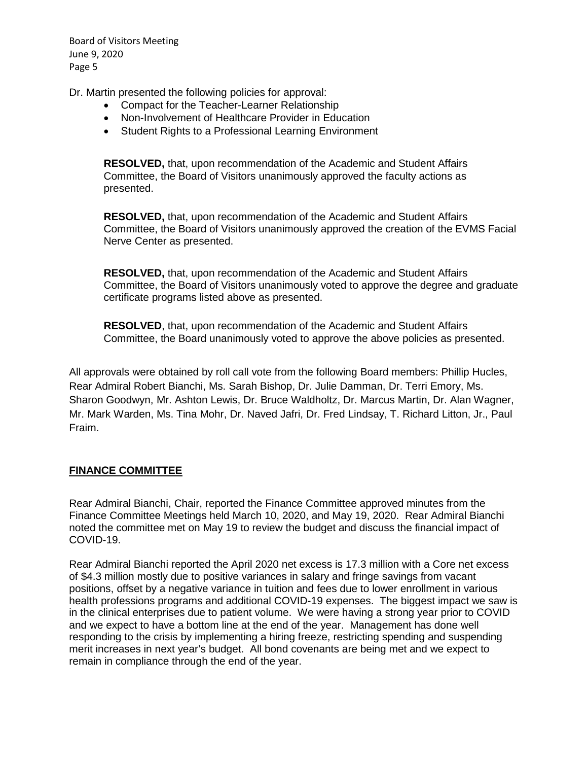Dr. Martin presented the following policies for approval:

- Compact for the Teacher-Learner Relationship
- Non-Involvement of Healthcare Provider in Education
- Student Rights to a Professional Learning Environment

**RESOLVED,** that, upon recommendation of the Academic and Student Affairs Committee, the Board of Visitors unanimously approved the faculty actions as presented.

**RESOLVED,** that, upon recommendation of the Academic and Student Affairs Committee, the Board of Visitors unanimously approved the creation of the EVMS Facial Nerve Center as presented.

**RESOLVED,** that, upon recommendation of the Academic and Student Affairs Committee, the Board of Visitors unanimously voted to approve the degree and graduate certificate programs listed above as presented.

**RESOLVED**, that, upon recommendation of the Academic and Student Affairs Committee, the Board unanimously voted to approve the above policies as presented.

All approvals were obtained by roll call vote from the following Board members: Phillip Hucles, Rear Admiral Robert Bianchi, Ms. Sarah Bishop, Dr. Julie Damman, Dr. Terri Emory, Ms. Sharon Goodwyn, Mr. Ashton Lewis, Dr. Bruce Waldholtz, Dr. Marcus Martin, Dr. Alan Wagner, Mr. Mark Warden, Ms. Tina Mohr, Dr. Naved Jafri, Dr. Fred Lindsay, T. Richard Litton, Jr., Paul Fraim.

#### **FINANCE COMMITTEE**

Rear Admiral Bianchi, Chair, reported the Finance Committee approved minutes from the Finance Committee Meetings held March 10, 2020, and May 19, 2020. Rear Admiral Bianchi noted the committee met on May 19 to review the budget and discuss the financial impact of COVID-19.

Rear Admiral Bianchi reported the April 2020 net excess is 17.3 million with a Core net excess of \$4.3 million mostly due to positive variances in salary and fringe savings from vacant positions, offset by a negative variance in tuition and fees due to lower enrollment in various health professions programs and additional COVID-19 expenses. The biggest impact we saw is in the clinical enterprises due to patient volume. We were having a strong year prior to COVID and we expect to have a bottom line at the end of the year. Management has done well responding to the crisis by implementing a hiring freeze, restricting spending and suspending merit increases in next year's budget. All bond covenants are being met and we expect to remain in compliance through the end of the year.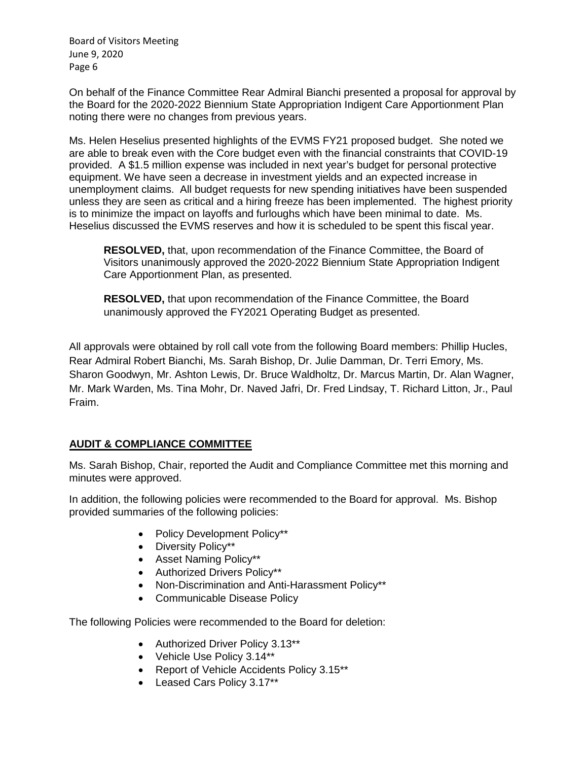On behalf of the Finance Committee Rear Admiral Bianchi presented a proposal for approval by the Board for the 2020-2022 Biennium State Appropriation Indigent Care Apportionment Plan noting there were no changes from previous years.

Ms. Helen Heselius presented highlights of the EVMS FY21 proposed budget. She noted we are able to break even with the Core budget even with the financial constraints that COVID-19 provided. A \$1.5 million expense was included in next year's budget for personal protective equipment. We have seen a decrease in investment yields and an expected increase in unemployment claims. All budget requests for new spending initiatives have been suspended unless they are seen as critical and a hiring freeze has been implemented. The highest priority is to minimize the impact on layoffs and furloughs which have been minimal to date. Ms. Heselius discussed the EVMS reserves and how it is scheduled to be spent this fiscal year.

**RESOLVED,** that, upon recommendation of the Finance Committee, the Board of Visitors unanimously approved the 2020-2022 Biennium State Appropriation Indigent Care Apportionment Plan, as presented.

**RESOLVED,** that upon recommendation of the Finance Committee, the Board unanimously approved the FY2021 Operating Budget as presented.

All approvals were obtained by roll call vote from the following Board members: Phillip Hucles, Rear Admiral Robert Bianchi, Ms. Sarah Bishop, Dr. Julie Damman, Dr. Terri Emory, Ms. Sharon Goodwyn, Mr. Ashton Lewis, Dr. Bruce Waldholtz, Dr. Marcus Martin, Dr. Alan Wagner, Mr. Mark Warden, Ms. Tina Mohr, Dr. Naved Jafri, Dr. Fred Lindsay, T. Richard Litton, Jr., Paul Fraim.

# **AUDIT & COMPLIANCE COMMITTEE**

Ms. Sarah Bishop, Chair, reported the Audit and Compliance Committee met this morning and minutes were approved.

In addition, the following policies were recommended to the Board for approval. Ms. Bishop provided summaries of the following policies:

- Policy Development Policy\*\*
- Diversity Policy\*\*
- Asset Naming Policy\*\*
- Authorized Drivers Policy\*\*
- Non-Discrimination and Anti-Harassment Policy\*\*
- Communicable Disease Policy

The following Policies were recommended to the Board for deletion:

- Authorized Driver Policy 3.13\*\*
- Vehicle Use Policy 3.14\*\*
- Report of Vehicle Accidents Policy 3.15\*\*
- Leased Cars Policy 3.17\*\*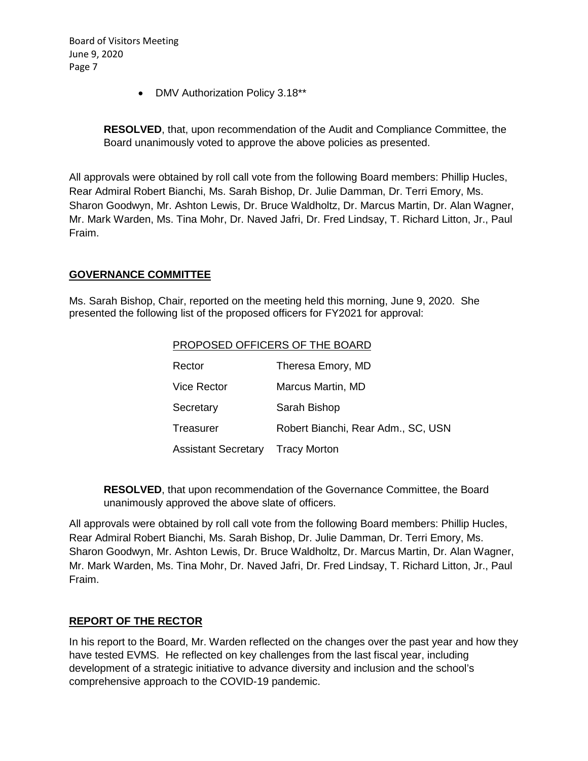• DMV Authorization Policy 3.18\*\*

**RESOLVED**, that, upon recommendation of the Audit and Compliance Committee, the Board unanimously voted to approve the above policies as presented.

All approvals were obtained by roll call vote from the following Board members: Phillip Hucles, Rear Admiral Robert Bianchi, Ms. Sarah Bishop, Dr. Julie Damman, Dr. Terri Emory, Ms. Sharon Goodwyn, Mr. Ashton Lewis, Dr. Bruce Waldholtz, Dr. Marcus Martin, Dr. Alan Wagner, Mr. Mark Warden, Ms. Tina Mohr, Dr. Naved Jafri, Dr. Fred Lindsay, T. Richard Litton, Jr., Paul Fraim.

### **GOVERNANCE COMMITTEE**

Ms. Sarah Bishop, Chair, reported on the meeting held this morning, June 9, 2020. She presented the following list of the proposed officers for FY2021 for approval:

| PROPOSED OFFICERS OF THE BOARD |                                    |
|--------------------------------|------------------------------------|
| Rector                         | Theresa Emory, MD                  |
| <b>Vice Rector</b>             | Marcus Martin, MD                  |
| Secretary                      | Sarah Bishop                       |
| Treasurer                      | Robert Bianchi, Rear Adm., SC, USN |
| <b>Assistant Secretary</b>     | <b>Tracy Morton</b>                |

**RESOLVED**, that upon recommendation of the Governance Committee, the Board unanimously approved the above slate of officers.

All approvals were obtained by roll call vote from the following Board members: Phillip Hucles, Rear Admiral Robert Bianchi, Ms. Sarah Bishop, Dr. Julie Damman, Dr. Terri Emory, Ms. Sharon Goodwyn, Mr. Ashton Lewis, Dr. Bruce Waldholtz, Dr. Marcus Martin, Dr. Alan Wagner, Mr. Mark Warden, Ms. Tina Mohr, Dr. Naved Jafri, Dr. Fred Lindsay, T. Richard Litton, Jr., Paul Fraim.

# **REPORT OF THE RECTOR**

In his report to the Board, Mr. Warden reflected on the changes over the past year and how they have tested EVMS. He reflected on key challenges from the last fiscal year, including development of a strategic initiative to advance diversity and inclusion and the school's comprehensive approach to the COVID-19 pandemic.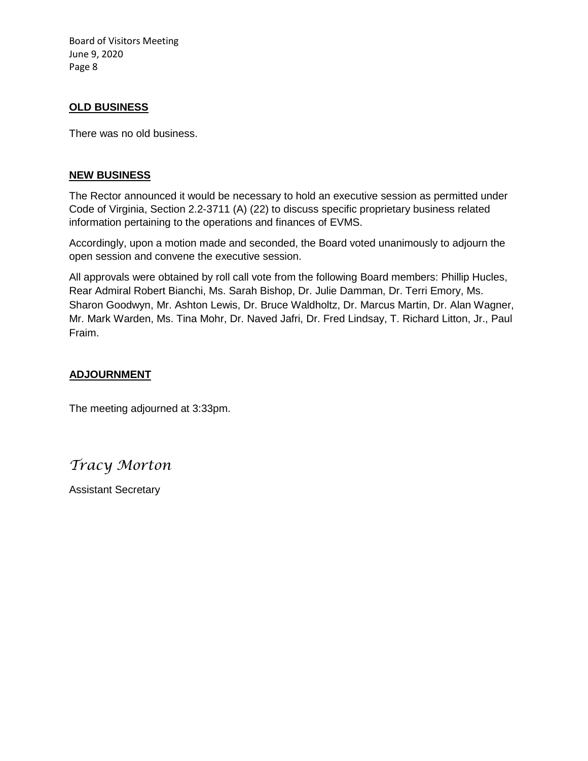#### **OLD BUSINESS**

There was no old business.

#### **NEW BUSINESS**

The Rector announced it would be necessary to hold an executive session as permitted under Code of Virginia, Section 2.2-3711 (A) (22) to discuss specific proprietary business related information pertaining to the operations and finances of EVMS.

Accordingly, upon a motion made and seconded, the Board voted unanimously to adjourn the open session and convene the executive session.

All approvals were obtained by roll call vote from the following Board members: Phillip Hucles, Rear Admiral Robert Bianchi, Ms. Sarah Bishop, Dr. Julie Damman, Dr. Terri Emory, Ms. Sharon Goodwyn, Mr. Ashton Lewis, Dr. Bruce Waldholtz, Dr. Marcus Martin, Dr. Alan Wagner, Mr. Mark Warden, Ms. Tina Mohr, Dr. Naved Jafri, Dr. Fred Lindsay, T. Richard Litton, Jr., Paul Fraim.

#### **ADJOURNMENT**

The meeting adjourned at 3:33pm.

*Tracy Morton*

Assistant Secretary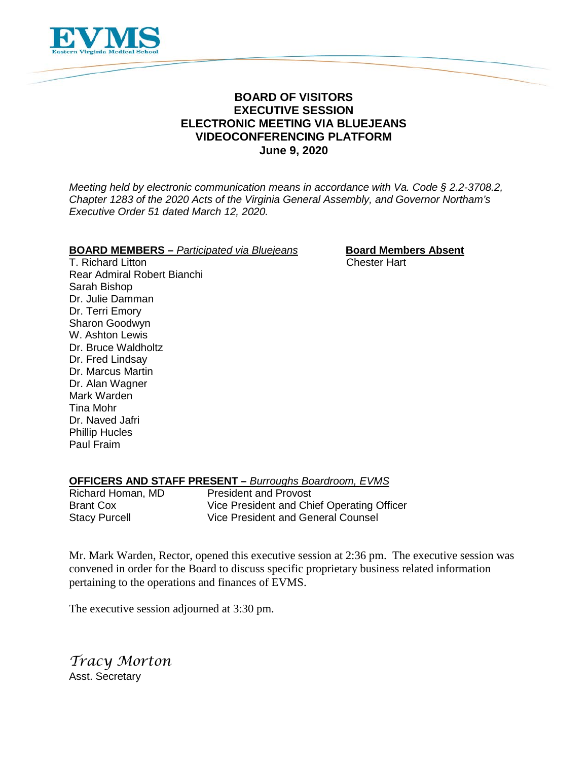

# **BOARD OF VISITORS EXECUTIVE SESSION ELECTRONIC MEETING VIA BLUEJEANS VIDEOCONFERENCING PLATFORM June 9, 2020**

*Meeting held by electronic communication means in accordance with Va. Code § 2.2-3708.2, Chapter 1283 of the 2020 Acts of the Virginia General Assembly, and Governor Northam's Executive Order 51 dated March 12, 2020.*

# **BOARD MEMBERS** – *Participated via Bluejeans* **Board Members Absent**<br>T. Richard Litton **Cheapers** Chester Hart

T. Richard Litton Rear Admiral Robert Bianchi Sarah Bishop Dr. Julie Damman Dr. Terri Emory Sharon Goodwyn W. Ashton Lewis Dr. Bruce Waldholtz Dr. Fred Lindsay Dr. Marcus Martin Dr. Alan Wagner Mark Warden Tina Mohr Dr. Naved Jafri Phillip Hucles Paul Fraim

# **OFFICERS AND STAFF PRESENT –** *Burroughs Boardroom, EVMS*

**President and Provost** Brant Cox Vice President and Chief Operating Officer Stacy Purcell Vice President and General Counsel

Mr. Mark Warden, Rector, opened this executive session at 2:36 pm. The executive session was convened in order for the Board to discuss specific proprietary business related information pertaining to the operations and finances of EVMS.

The executive session adjourned at 3:30 pm.

*Tracy Morton* Asst. Secretary